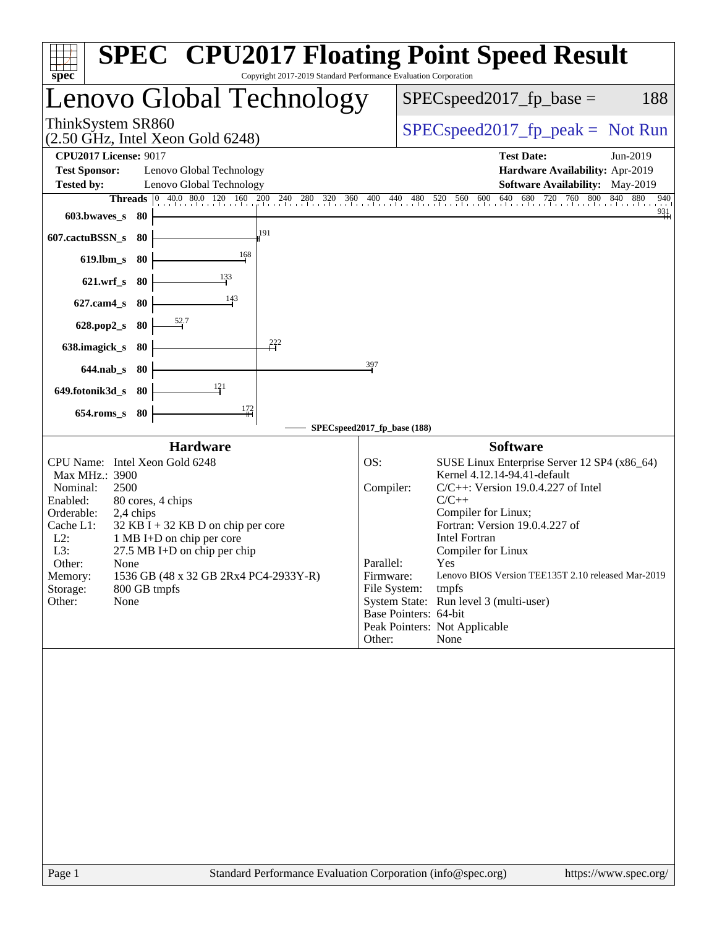| $spec^*$                                                                                                                                                                                |                                                                                                                                                                                              | Copyright 2017-2019 Standard Performance Evaluation Corporation |                                                                                               | <b>SPEC<sup>®</sup></b> CPU2017 Floating Point Speed Result                                                                                                                                                                                                                                                                                                                                      |
|-----------------------------------------------------------------------------------------------------------------------------------------------------------------------------------------|----------------------------------------------------------------------------------------------------------------------------------------------------------------------------------------------|-----------------------------------------------------------------|-----------------------------------------------------------------------------------------------|--------------------------------------------------------------------------------------------------------------------------------------------------------------------------------------------------------------------------------------------------------------------------------------------------------------------------------------------------------------------------------------------------|
| Lenovo Global Technology                                                                                                                                                                |                                                                                                                                                                                              |                                                                 |                                                                                               | $SPEC speed2017fp base =$<br>188                                                                                                                                                                                                                                                                                                                                                                 |
| ThinkSystem SR860<br>$(2.50 \text{ GHz}, \text{Intel Xeon Gold } 6248)$                                                                                                                 |                                                                                                                                                                                              |                                                                 |                                                                                               | $SPEC speed2017fp peak = Not Run$                                                                                                                                                                                                                                                                                                                                                                |
| <b>CPU2017 License: 9017</b>                                                                                                                                                            |                                                                                                                                                                                              |                                                                 |                                                                                               | <b>Test Date:</b><br>Jun-2019                                                                                                                                                                                                                                                                                                                                                                    |
| <b>Test Sponsor:</b>                                                                                                                                                                    | Lenovo Global Technology                                                                                                                                                                     |                                                                 |                                                                                               | Hardware Availability: Apr-2019                                                                                                                                                                                                                                                                                                                                                                  |
| <b>Tested by:</b>                                                                                                                                                                       | Lenovo Global Technology                                                                                                                                                                     |                                                                 |                                                                                               | <b>Software Availability:</b> May-2019<br>840 880<br>940                                                                                                                                                                                                                                                                                                                                         |
| $603.bwaves$ s                                                                                                                                                                          | - 80                                                                                                                                                                                         |                                                                 |                                                                                               | 680 720 760 800<br>$^{931}$                                                                                                                                                                                                                                                                                                                                                                      |
| 607.cactuBSSN_s 80                                                                                                                                                                      |                                                                                                                                                                                              | 191                                                             |                                                                                               |                                                                                                                                                                                                                                                                                                                                                                                                  |
| 619.lbm_s 80                                                                                                                                                                            |                                                                                                                                                                                              | 168                                                             |                                                                                               |                                                                                                                                                                                                                                                                                                                                                                                                  |
| $621.wrf$ s                                                                                                                                                                             | 133<br>-80                                                                                                                                                                                   |                                                                 |                                                                                               |                                                                                                                                                                                                                                                                                                                                                                                                  |
| $627$ .cam $4$ <sub>S</sub>                                                                                                                                                             | 80                                                                                                                                                                                           | 143                                                             |                                                                                               |                                                                                                                                                                                                                                                                                                                                                                                                  |
| $628.pop2_s$                                                                                                                                                                            | 80                                                                                                                                                                                           |                                                                 |                                                                                               |                                                                                                                                                                                                                                                                                                                                                                                                  |
| 638.imagick_s                                                                                                                                                                           | 80                                                                                                                                                                                           | $\stackrel{222}{\rightarrow}$                                   |                                                                                               |                                                                                                                                                                                                                                                                                                                                                                                                  |
| 644.nab s 80                                                                                                                                                                            |                                                                                                                                                                                              |                                                                 | 397                                                                                           |                                                                                                                                                                                                                                                                                                                                                                                                  |
| 649.fotonik3d_s                                                                                                                                                                         | 121<br>- 80                                                                                                                                                                                  |                                                                 |                                                                                               |                                                                                                                                                                                                                                                                                                                                                                                                  |
| $654$ .roms_s                                                                                                                                                                           | 80                                                                                                                                                                                           | 172                                                             |                                                                                               |                                                                                                                                                                                                                                                                                                                                                                                                  |
|                                                                                                                                                                                         |                                                                                                                                                                                              |                                                                 | SPECspeed2017_fp_base (188)                                                                   |                                                                                                                                                                                                                                                                                                                                                                                                  |
| <b>Hardware</b>                                                                                                                                                                         |                                                                                                                                                                                              |                                                                 |                                                                                               | <b>Software</b>                                                                                                                                                                                                                                                                                                                                                                                  |
| CPU Name: Intel Xeon Gold 6248<br>Max MHz.: 3900<br>Nominal:<br>2500<br>Enabled:<br>Orderable:<br>Cache L1:<br>$L2$ :<br>L3:<br>Other:<br>None<br>Memory:<br>Storage:<br>Other:<br>None | 80 cores, 4 chips<br>2,4 chips<br>$32$ KB I + 32 KB D on chip per core<br>1 MB I+D on chip per core<br>27.5 MB I+D on chip per chip<br>1536 GB (48 x 32 GB 2Rx4 PC4-2933Y-R)<br>800 GB tmpfs |                                                                 | OS:<br>Compiler:<br>Parallel:<br>Firmware:<br>File System:<br>Base Pointers: 64-bit<br>Other: | SUSE Linux Enterprise Server 12 SP4 (x86_64)<br>Kernel 4.12.14-94.41-default<br>$C/C++$ : Version 19.0.4.227 of Intel<br>$C/C++$<br>Compiler for Linux;<br>Fortran: Version 19.0.4.227 of<br><b>Intel Fortran</b><br>Compiler for Linux<br>Yes<br>Lenovo BIOS Version TEE135T 2.10 released Mar-2019<br>tmpfs<br>System State: Run level 3 (multi-user)<br>Peak Pointers: Not Applicable<br>None |
|                                                                                                                                                                                         |                                                                                                                                                                                              |                                                                 |                                                                                               |                                                                                                                                                                                                                                                                                                                                                                                                  |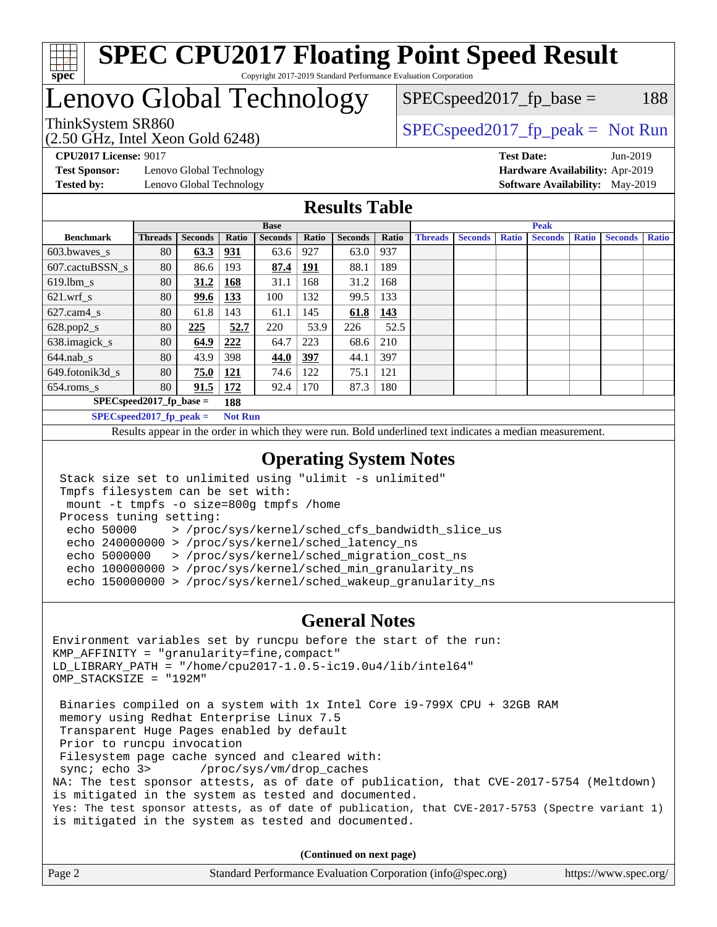

# Lenovo Global Technology

ThinkSystem SR860<br>  $SPEC speed2017<sub>rfp</sub> peak = Not Run$  $SPEC speed2017_fp\_base = 188$ 

(2.50 GHz, Intel Xeon Gold 6248)

**[Test Sponsor:](http://www.spec.org/auto/cpu2017/Docs/result-fields.html#TestSponsor)** Lenovo Global Technology **[Hardware Availability:](http://www.spec.org/auto/cpu2017/Docs/result-fields.html#HardwareAvailability)** Apr-2019 **[Tested by:](http://www.spec.org/auto/cpu2017/Docs/result-fields.html#Testedby)** Lenovo Global Technology **[Software Availability:](http://www.spec.org/auto/cpu2017/Docs/result-fields.html#SoftwareAvailability)** May-2019

**[CPU2017 License:](http://www.spec.org/auto/cpu2017/Docs/result-fields.html#CPU2017License)** 9017 **[Test Date:](http://www.spec.org/auto/cpu2017/Docs/result-fields.html#TestDate)** Jun-2019

#### **[Results Table](http://www.spec.org/auto/cpu2017/Docs/result-fields.html#ResultsTable)**

|                                   | <b>Base</b>    |                |                |                | <b>Peak</b> |                |       |                |                |              |                |              |                |              |
|-----------------------------------|----------------|----------------|----------------|----------------|-------------|----------------|-------|----------------|----------------|--------------|----------------|--------------|----------------|--------------|
| <b>Benchmark</b>                  | <b>Threads</b> | <b>Seconds</b> | Ratio          | <b>Seconds</b> | Ratio       | <b>Seconds</b> | Ratio | <b>Threads</b> | <b>Seconds</b> | <b>Ratio</b> | <b>Seconds</b> | <b>Ratio</b> | <b>Seconds</b> | <b>Ratio</b> |
| $603.bwaves$ s                    | 80             | 63.3           | 931            | 63.6           | 927         | 63.0           | 937   |                |                |              |                |              |                |              |
| 607.cactuBSSN s                   | 80             | 86.6           | 193            | 87.4           | <u>191</u>  | 88.1           | 189   |                |                |              |                |              |                |              |
| $619.1$ bm s                      | 80             | 31.2           | 168            | 31.1           | 168         | 31.2           | 168   |                |                |              |                |              |                |              |
| $621$ .wrf s                      | 80             | 99.6           | <u>133</u>     | 100            | 132         | 99.5           | 133   |                |                |              |                |              |                |              |
| $627$ .cam $4 \text{ s}$          | 80             | 61.8           | 143            | 61.1           | 145         | 61.8           | 143   |                |                |              |                |              |                |              |
| $628.pop2_s$                      | 80             | 225            | 52.7           | 220            | 53.9        | 226            | 52.5  |                |                |              |                |              |                |              |
| 638.imagick_s                     | 80             | 64.9           | 222            | 64.7           | 223         | 68.6           | 210   |                |                |              |                |              |                |              |
| $644$ .nab s                      | 80             | 43.9           | 398            | 44.0           | 397         | 44.1           | 397   |                |                |              |                |              |                |              |
| 649.fotonik3d s                   | 80             | 75.0           | <u>121</u>     | 74.6           | 122         | 75.1           | 121   |                |                |              |                |              |                |              |
| $654$ .roms s                     | 80             | 91.5           | 172            | 92.4           | 170         | 87.3           | 180   |                |                |              |                |              |                |              |
| $SPEC speed2017$ fp base =<br>188 |                |                |                |                |             |                |       |                |                |              |                |              |                |              |
| $SPECspeed2017_fp\_peak =$        |                |                | <b>Not Run</b> |                |             |                |       |                |                |              |                |              |                |              |

Results appear in the [order in which they were run.](http://www.spec.org/auto/cpu2017/Docs/result-fields.html#RunOrder) Bold underlined text [indicates a median measurement](http://www.spec.org/auto/cpu2017/Docs/result-fields.html#Median).

#### **[Operating System Notes](http://www.spec.org/auto/cpu2017/Docs/result-fields.html#OperatingSystemNotes)**

```
 Stack size set to unlimited using "ulimit -s unlimited"
 Tmpfs filesystem can be set with:
 mount -t tmpfs -o size=800g tmpfs /home
 Process tuning setting:
  echo 50000 > /proc/sys/kernel/sched_cfs_bandwidth_slice_us
  echo 240000000 > /proc/sys/kernel/sched_latency_ns
  echo 5000000 > /proc/sys/kernel/sched_migration_cost_ns
  echo 100000000 > /proc/sys/kernel/sched_min_granularity_ns
  echo 150000000 > /proc/sys/kernel/sched_wakeup_granularity_ns
```
#### **[General Notes](http://www.spec.org/auto/cpu2017/Docs/result-fields.html#GeneralNotes)**

Environment variables set by runcpu before the start of the run: KMP\_AFFINITY = "granularity=fine,compact" LD\_LIBRARY\_PATH = "/home/cpu2017-1.0.5-ic19.0u4/lib/intel64" OMP\_STACKSIZE = "192M" Binaries compiled on a system with 1x Intel Core i9-799X CPU + 32GB RAM memory using Redhat Enterprise Linux 7.5 Transparent Huge Pages enabled by default Prior to runcpu invocation Filesystem page cache synced and cleared with: sync; echo 3> /proc/sys/vm/drop\_caches NA: The test sponsor attests, as of date of publication, that CVE-2017-5754 (Meltdown) is mitigated in the system as tested and documented. Yes: The test sponsor attests, as of date of publication, that CVE-2017-5753 (Spectre variant 1) is mitigated in the system as tested and documented.

**(Continued on next page)**

| Page 2 | Standard Performance Evaluation Corporation (info@spec.org) | https://www.spec.org/ |
|--------|-------------------------------------------------------------|-----------------------|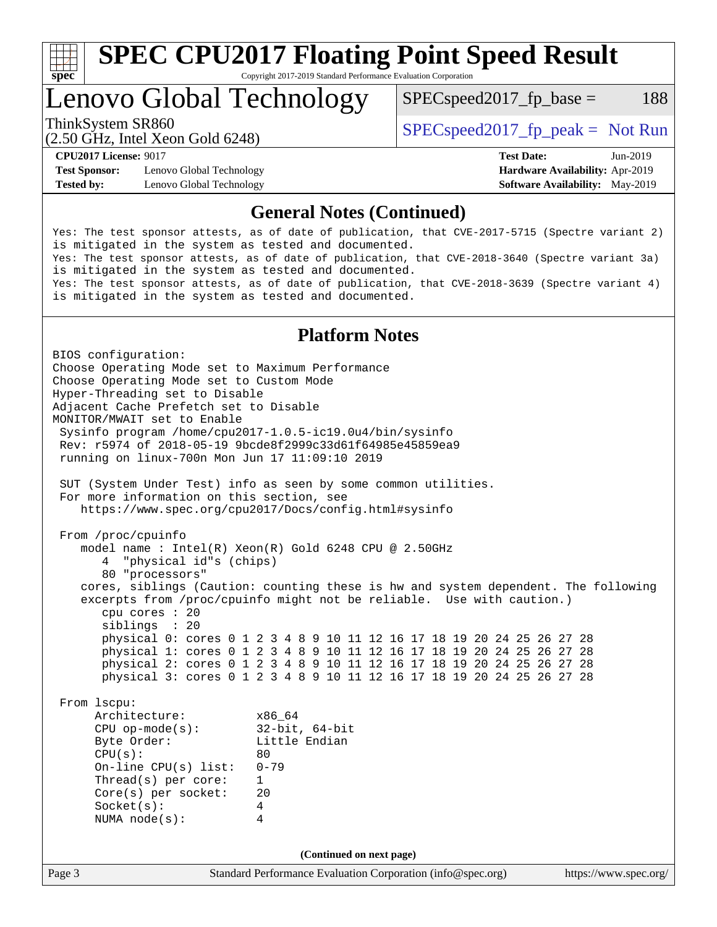

Lenovo Global Technology

 $SPEC speed2017_fp\_base = 188$ 

(2.50 GHz, Intel Xeon Gold 6248)

ThinkSystem SR860<br>  $SPEC speed2017<sub>rfp</sub> peak = Not Run$ 

**[Test Sponsor:](http://www.spec.org/auto/cpu2017/Docs/result-fields.html#TestSponsor)** Lenovo Global Technology **[Hardware Availability:](http://www.spec.org/auto/cpu2017/Docs/result-fields.html#HardwareAvailability)** Apr-2019 **[Tested by:](http://www.spec.org/auto/cpu2017/Docs/result-fields.html#Testedby)** Lenovo Global Technology **[Software Availability:](http://www.spec.org/auto/cpu2017/Docs/result-fields.html#SoftwareAvailability)** May-2019

**[CPU2017 License:](http://www.spec.org/auto/cpu2017/Docs/result-fields.html#CPU2017License)** 9017 **[Test Date:](http://www.spec.org/auto/cpu2017/Docs/result-fields.html#TestDate)** Jun-2019

#### **[General Notes \(Continued\)](http://www.spec.org/auto/cpu2017/Docs/result-fields.html#GeneralNotes)**

Yes: The test sponsor attests, as of date of publication, that CVE-2017-5715 (Spectre variant 2) is mitigated in the system as tested and documented. Yes: The test sponsor attests, as of date of publication, that CVE-2018-3640 (Spectre variant 3a) is mitigated in the system as tested and documented. Yes: The test sponsor attests, as of date of publication, that CVE-2018-3639 (Spectre variant 4) is mitigated in the system as tested and documented.

#### **[Platform Notes](http://www.spec.org/auto/cpu2017/Docs/result-fields.html#PlatformNotes)**

Page 3 Standard Performance Evaluation Corporation [\(info@spec.org\)](mailto:info@spec.org) <https://www.spec.org/> BIOS configuration: Choose Operating Mode set to Maximum Performance Choose Operating Mode set to Custom Mode Hyper-Threading set to Disable Adjacent Cache Prefetch set to Disable MONITOR/MWAIT set to Enable Sysinfo program /home/cpu2017-1.0.5-ic19.0u4/bin/sysinfo Rev: r5974 of 2018-05-19 9bcde8f2999c33d61f64985e45859ea9 running on linux-700n Mon Jun 17 11:09:10 2019 SUT (System Under Test) info as seen by some common utilities. For more information on this section, see <https://www.spec.org/cpu2017/Docs/config.html#sysinfo> From /proc/cpuinfo model name : Intel(R) Xeon(R) Gold 6248 CPU @ 2.50GHz 4 "physical id"s (chips) 80 "processors" cores, siblings (Caution: counting these is hw and system dependent. The following excerpts from /proc/cpuinfo might not be reliable. Use with caution.) cpu cores : 20 siblings : 20 physical 0: cores 0 1 2 3 4 8 9 10 11 12 16 17 18 19 20 24 25 26 27 28 physical 1: cores 0 1 2 3 4 8 9 10 11 12 16 17 18 19 20 24 25 26 27 28 physical 2: cores 0 1 2 3 4 8 9 10 11 12 16 17 18 19 20 24 25 26 27 28 physical 3: cores 0 1 2 3 4 8 9 10 11 12 16 17 18 19 20 24 25 26 27 28 From lscpu: Architecture: x86\_64<br>
CPU op-mode(s): 32-bit, 64-bit CPU op-mode(s):<br>Byte Order: Little Endian  $CPU(s):$  80 On-line CPU(s) list: 0-79 Thread(s) per core: 1 Core(s) per socket: 20 Socket(s): 4 NUMA node(s): 4 **(Continued on next page)**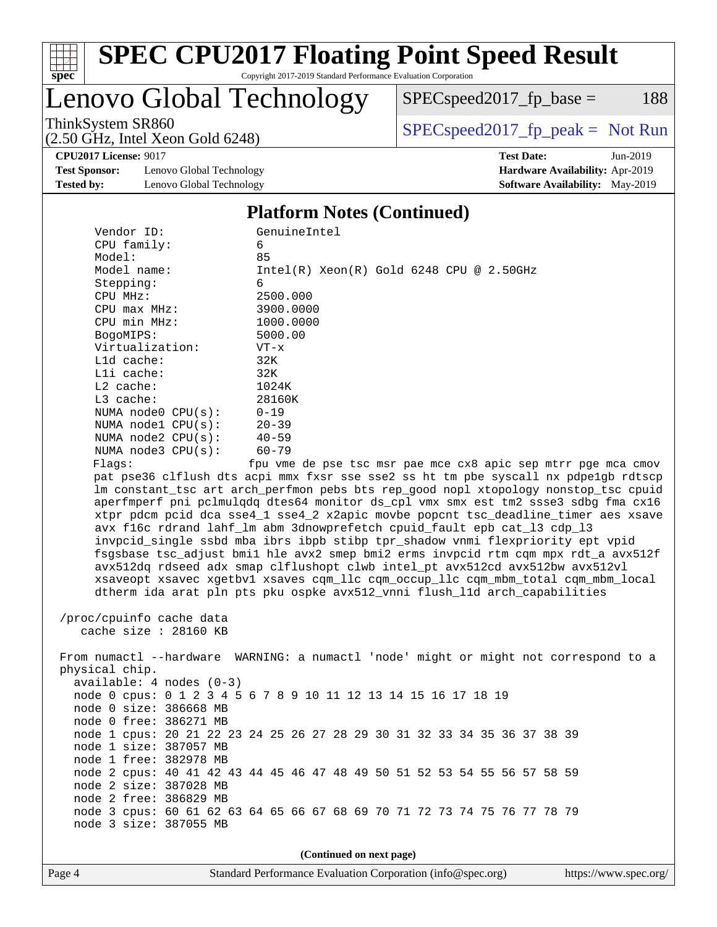

# **[SPEC CPU2017 Floating Point Speed Result](http://www.spec.org/auto/cpu2017/Docs/result-fields.html#SPECCPU2017FloatingPointSpeedResult)**

Copyright 2017-2019 Standard Performance Evaluation Corporation

Lenovo Global Technology

 $SPECspeed2017_fp\_base = 188$ 

(2.50 GHz, Intel Xeon Gold 6248)

ThinkSystem SR860<br>  $(2.50 \text{ GHz. Intel Yoon Gold } 6248)$  [SPECspeed2017\\_fp\\_peak =](http://www.spec.org/auto/cpu2017/Docs/result-fields.html#SPECspeed2017fppeak) Not Run

**[CPU2017 License:](http://www.spec.org/auto/cpu2017/Docs/result-fields.html#CPU2017License)** 9017 **[Test Date:](http://www.spec.org/auto/cpu2017/Docs/result-fields.html#TestDate)** Jun-2019

**[Test Sponsor:](http://www.spec.org/auto/cpu2017/Docs/result-fields.html#TestSponsor)** Lenovo Global Technology **[Hardware Availability:](http://www.spec.org/auto/cpu2017/Docs/result-fields.html#HardwareAvailability)** Apr-2019 **[Tested by:](http://www.spec.org/auto/cpu2017/Docs/result-fields.html#Testedby)** Lenovo Global Technology **[Software Availability:](http://www.spec.org/auto/cpu2017/Docs/result-fields.html#SoftwareAvailability)** May-2019

**[Platform Notes \(Continued\)](http://www.spec.org/auto/cpu2017/Docs/result-fields.html#PlatformNotes)**

| Vendor ID:<br>CPU family:                                                        | GenuineIntel<br>6                                                                    |  |  |  |  |  |  |  |
|----------------------------------------------------------------------------------|--------------------------------------------------------------------------------------|--|--|--|--|--|--|--|
| Model:                                                                           | 85                                                                                   |  |  |  |  |  |  |  |
| Model name:                                                                      | $Intel(R) Xeon(R) Gold 6248 CPU @ 2.50GHz$                                           |  |  |  |  |  |  |  |
| Stepping:                                                                        | 6                                                                                    |  |  |  |  |  |  |  |
| CPU MHz:                                                                         | 2500.000                                                                             |  |  |  |  |  |  |  |
| $CPU$ $max$ $MHz$ :                                                              | 3900.0000                                                                            |  |  |  |  |  |  |  |
| CPU min MHz:                                                                     | 1000.0000                                                                            |  |  |  |  |  |  |  |
| BogoMIPS:                                                                        | 5000.00                                                                              |  |  |  |  |  |  |  |
| Virtualization:                                                                  | $VT - x$                                                                             |  |  |  |  |  |  |  |
| L1d cache:                                                                       | 32K                                                                                  |  |  |  |  |  |  |  |
| Lli cache:                                                                       | 32K                                                                                  |  |  |  |  |  |  |  |
| L2 cache:                                                                        | 1024K                                                                                |  |  |  |  |  |  |  |
| $L3$ cache:                                                                      | 28160K                                                                               |  |  |  |  |  |  |  |
| NUMA node0 CPU(s):                                                               | $0 - 19$                                                                             |  |  |  |  |  |  |  |
| NUMA $node1$ $CPU(s):$                                                           | $20 - 39$                                                                            |  |  |  |  |  |  |  |
| NUMA $node2$ $CPU(s):$                                                           | $40 - 59$                                                                            |  |  |  |  |  |  |  |
| NUMA $node3$ $CPU(s)$ :                                                          | $60 - 79$                                                                            |  |  |  |  |  |  |  |
| Flaqs:                                                                           | fpu vme de pse tsc msr pae mce cx8 apic sep mtrr pge mca cmov                        |  |  |  |  |  |  |  |
|                                                                                  | pat pse36 clflush dts acpi mmx fxsr sse sse2 ss ht tm pbe syscall nx pdpelgb rdtscp  |  |  |  |  |  |  |  |
|                                                                                  | lm constant_tsc art arch_perfmon pebs bts rep_good nopl xtopology nonstop_tsc cpuid  |  |  |  |  |  |  |  |
|                                                                                  | aperfmperf pni pclmulqdq dtes64 monitor ds_cpl vmx smx est tm2 ssse3 sdbg fma cx16   |  |  |  |  |  |  |  |
|                                                                                  | xtpr pdcm pcid dca sse4_1 sse4_2 x2apic movbe popcnt tsc_deadline_timer aes xsave    |  |  |  |  |  |  |  |
|                                                                                  | avx f16c rdrand lahf_lm abm 3dnowprefetch cpuid_fault epb cat_13 cdp_13              |  |  |  |  |  |  |  |
|                                                                                  | invpcid_single ssbd mba ibrs ibpb stibp tpr_shadow vnmi flexpriority ept vpid        |  |  |  |  |  |  |  |
|                                                                                  |                                                                                      |  |  |  |  |  |  |  |
|                                                                                  | fsgsbase tsc_adjust bmil hle avx2 smep bmi2 erms invpcid rtm cqm mpx rdt_a avx512f   |  |  |  |  |  |  |  |
| avx512dq rdseed adx smap clflushopt clwb intel_pt avx512cd avx512bw avx512vl     |                                                                                      |  |  |  |  |  |  |  |
| xsaveopt xsavec xgetbvl xsaves cqm_llc cqm_occup_llc cqm_mbm_total cqm_mbm_local |                                                                                      |  |  |  |  |  |  |  |
|                                                                                  | dtherm ida arat pln pts pku ospke avx512_vnni flush_l1d arch_capabilities            |  |  |  |  |  |  |  |
|                                                                                  |                                                                                      |  |  |  |  |  |  |  |
| /proc/cpuinfo cache data                                                         |                                                                                      |  |  |  |  |  |  |  |
| cache size : 28160 KB                                                            |                                                                                      |  |  |  |  |  |  |  |
|                                                                                  |                                                                                      |  |  |  |  |  |  |  |
|                                                                                  | From numactl --hardware WARNING: a numactl 'node' might or might not correspond to a |  |  |  |  |  |  |  |
| physical chip.                                                                   |                                                                                      |  |  |  |  |  |  |  |
| $available: 4 nodes (0-3)$                                                       |                                                                                      |  |  |  |  |  |  |  |
|                                                                                  | node 0 cpus: 0 1 2 3 4 5 6 7 8 9 10 11 12 13 14 15 16 17 18 19                       |  |  |  |  |  |  |  |
| node 0 size: 386668 MB                                                           |                                                                                      |  |  |  |  |  |  |  |
| node 0 free: 386271 MB                                                           |                                                                                      |  |  |  |  |  |  |  |
|                                                                                  | node 1 cpus: 20 21 22 23 24 25 26 27 28 29 30 31 32 33 34 35 36 37 38 39             |  |  |  |  |  |  |  |
| node 1 size: 387057 MB                                                           |                                                                                      |  |  |  |  |  |  |  |
| node 1 free: 382978 MB                                                           |                                                                                      |  |  |  |  |  |  |  |
|                                                                                  | node 2 cpus: 40 41 42 43 44 45 46 47 48 49 50 51 52 53 54 55 56 57 58 59             |  |  |  |  |  |  |  |
| node 2 size: 387028 MB                                                           |                                                                                      |  |  |  |  |  |  |  |
| node 2 free: 386829 MB                                                           |                                                                                      |  |  |  |  |  |  |  |
|                                                                                  | node 3 cpus: 60 61 62 63 64 65 66 67 68 69 70 71 72 73 74 75 76 77 78 79             |  |  |  |  |  |  |  |
| node 3 size: 387055 MB                                                           |                                                                                      |  |  |  |  |  |  |  |
|                                                                                  |                                                                                      |  |  |  |  |  |  |  |
| (Continued on next page)                                                         |                                                                                      |  |  |  |  |  |  |  |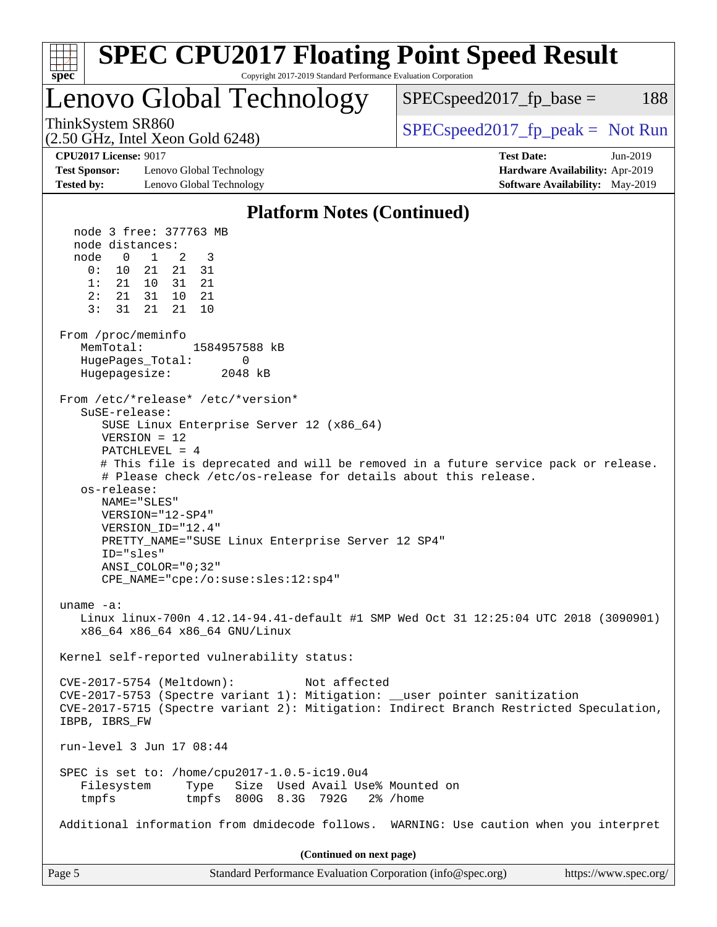| <b>SPEC CPU2017 Floating Point Speed Result</b><br>Copyright 2017-2019 Standard Performance Evaluation Corporation<br>spec <sup>®</sup>                                                                                                                                                                                                                                                                                                                                                                                                                                                                                                                                                                                                                                                                                                                                                                                                                                                                                                                                                                                                                                                                                                                                                                                                                                                                                                                                                                                                                        |                                                                                                       |
|----------------------------------------------------------------------------------------------------------------------------------------------------------------------------------------------------------------------------------------------------------------------------------------------------------------------------------------------------------------------------------------------------------------------------------------------------------------------------------------------------------------------------------------------------------------------------------------------------------------------------------------------------------------------------------------------------------------------------------------------------------------------------------------------------------------------------------------------------------------------------------------------------------------------------------------------------------------------------------------------------------------------------------------------------------------------------------------------------------------------------------------------------------------------------------------------------------------------------------------------------------------------------------------------------------------------------------------------------------------------------------------------------------------------------------------------------------------------------------------------------------------------------------------------------------------|-------------------------------------------------------------------------------------------------------|
| Lenovo Global Technology                                                                                                                                                                                                                                                                                                                                                                                                                                                                                                                                                                                                                                                                                                                                                                                                                                                                                                                                                                                                                                                                                                                                                                                                                                                                                                                                                                                                                                                                                                                                       | $SPEC speed2017fp base =$<br>188                                                                      |
| ThinkSystem SR860<br>(2.50 GHz, Intel Xeon Gold 6248)                                                                                                                                                                                                                                                                                                                                                                                                                                                                                                                                                                                                                                                                                                                                                                                                                                                                                                                                                                                                                                                                                                                                                                                                                                                                                                                                                                                                                                                                                                          | $SPEC speed2017fr peak = Not Run$                                                                     |
| <b>CPU2017 License: 9017</b><br><b>Test Sponsor:</b><br>Lenovo Global Technology<br><b>Tested by:</b><br>Lenovo Global Technology                                                                                                                                                                                                                                                                                                                                                                                                                                                                                                                                                                                                                                                                                                                                                                                                                                                                                                                                                                                                                                                                                                                                                                                                                                                                                                                                                                                                                              | <b>Test Date:</b><br>$Jun-2019$<br>Hardware Availability: Apr-2019<br>Software Availability: May-2019 |
| <b>Platform Notes (Continued)</b>                                                                                                                                                                                                                                                                                                                                                                                                                                                                                                                                                                                                                                                                                                                                                                                                                                                                                                                                                                                                                                                                                                                                                                                                                                                                                                                                                                                                                                                                                                                              |                                                                                                       |
| node 3 free: 377763 MB<br>node distances:<br>node<br>$\overline{0}$<br>$\overline{1}$<br>2<br>3<br>0:<br>10 21<br>21<br>31<br>1:<br>21 10<br>31<br>21<br>2:<br>21<br>31<br>10<br>21<br>21<br>3:<br>31<br>21<br>10<br>From /proc/meminfo<br>MemTotal:<br>1584957588 kB<br>HugePages_Total:<br>0<br>Hugepagesize:<br>2048 kB<br>From /etc/*release* /etc/*version*<br>SuSE-release:<br>SUSE Linux Enterprise Server 12 (x86_64)<br>$VERSION = 12$<br>PATCHLEVEL = 4<br># This file is deprecated and will be removed in a future service pack or release.<br># Please check /etc/os-release for details about this release.<br>os-release:<br>NAME="SLES"<br>VERSION="12-SP4"<br>VERSION_ID="12.4"<br>PRETTY_NAME="SUSE Linux Enterprise Server 12 SP4"<br>ID="sles"<br>$ANSI$ _COLOR=" $0:32$ "<br>CPE_NAME="cpe:/o:suse:sles:12:sp4"<br>uname $-a$ :<br>Linux linux-700n 4.12.14-94.41-default #1 SMP Wed Oct 31 12:25:04 UTC 2018 (3090901)<br>x86 64 x86 64 x86 64 GNU/Linux<br>Kernel self-reported vulnerability status:<br>CVE-2017-5754 (Meltdown):<br>Not affected<br>CVE-2017-5753 (Spectre variant 1): Mitigation: __user pointer sanitization<br>CVE-2017-5715 (Spectre variant 2): Mitigation: Indirect Branch Restricted Speculation,<br>IBPB, IBRS_FW<br>run-level 3 Jun 17 08:44<br>SPEC is set to: /home/cpu2017-1.0.5-ic19.0u4<br>Size Used Avail Use% Mounted on<br>Filesystem<br>Type<br>tmpfs 800G 8.3G 792G<br>tmpfs<br>Additional information from dmidecode follows. WARNING: Use caution when you interpret<br>(Continued on next page) | 2% /home                                                                                              |
| Page 5<br>Standard Performance Evaluation Corporation (info@spec.org)                                                                                                                                                                                                                                                                                                                                                                                                                                                                                                                                                                                                                                                                                                                                                                                                                                                                                                                                                                                                                                                                                                                                                                                                                                                                                                                                                                                                                                                                                          | https://www.spec.org/                                                                                 |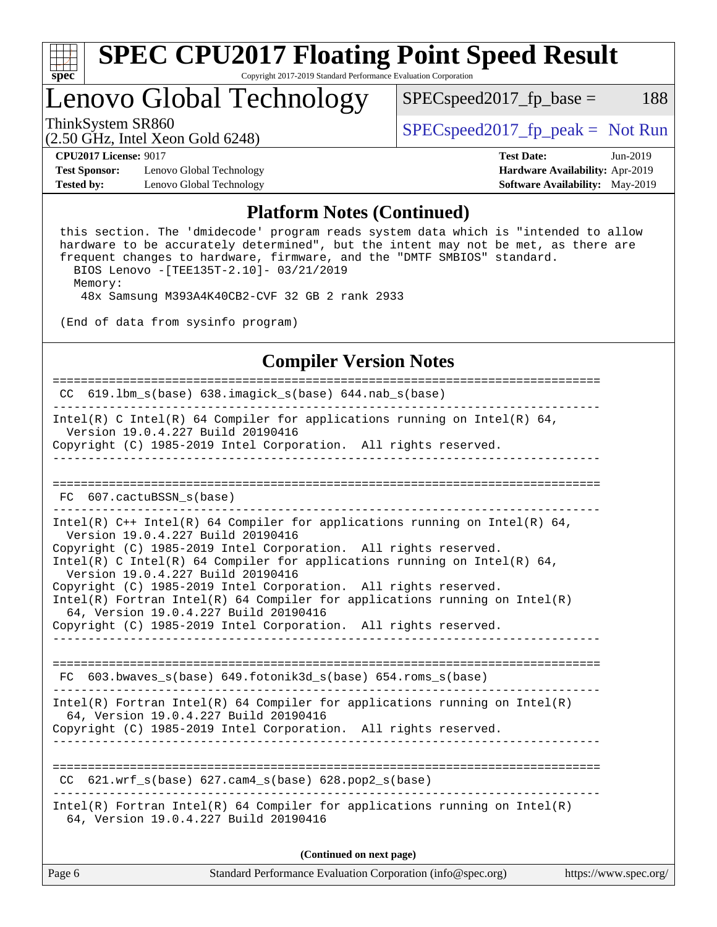

# Lenovo Global Technology

ThinkSystem SR860<br>  $S$ PECspeed2017\_fp\_peak = Not Run

 $SPEC speed2017_fp\_base = 188$ 

(2.50 GHz, Intel Xeon Gold 6248)

**[Test Sponsor:](http://www.spec.org/auto/cpu2017/Docs/result-fields.html#TestSponsor)** Lenovo Global Technology **[Hardware Availability:](http://www.spec.org/auto/cpu2017/Docs/result-fields.html#HardwareAvailability)** Apr-2019 **[Tested by:](http://www.spec.org/auto/cpu2017/Docs/result-fields.html#Testedby)** Lenovo Global Technology **[Software Availability:](http://www.spec.org/auto/cpu2017/Docs/result-fields.html#SoftwareAvailability)** May-2019

**[CPU2017 License:](http://www.spec.org/auto/cpu2017/Docs/result-fields.html#CPU2017License)** 9017 **[Test Date:](http://www.spec.org/auto/cpu2017/Docs/result-fields.html#TestDate)** Jun-2019

#### **[Platform Notes \(Continued\)](http://www.spec.org/auto/cpu2017/Docs/result-fields.html#PlatformNotes)**

 this section. The 'dmidecode' program reads system data which is "intended to allow hardware to be accurately determined", but the intent may not be met, as there are frequent changes to hardware, firmware, and the "DMTF SMBIOS" standard. BIOS Lenovo -[TEE135T-2.10]- 03/21/2019

Memory:

48x Samsung M393A4K40CB2-CVF 32 GB 2 rank 2933

(End of data from sysinfo program)

### **[Compiler Version Notes](http://www.spec.org/auto/cpu2017/Docs/result-fields.html#CompilerVersionNotes)**

============================================================================== CC  $619.1$ bm s(base)  $638.$ imagick s(base) 644.nab s(base) ------------------------------------------------------------------------------ Intel(R) C Intel(R) 64 Compiler for applications running on Intel(R) 64, Version 19.0.4.227 Build 20190416 Copyright (C) 1985-2019 Intel Corporation. All rights reserved. ------------------------------------------------------------------------------ ============================================================================== FC 607.cactuBSSN s(base) ------------------------------------------------------------------------------ Intel(R) C++ Intel(R) 64 Compiler for applications running on Intel(R) 64, Version 19.0.4.227 Build 20190416 Copyright (C) 1985-2019 Intel Corporation. All rights reserved. Intel(R) C Intel(R) 64 Compiler for applications running on Intel(R)  $64$ , Version 19.0.4.227 Build 20190416 Copyright (C) 1985-2019 Intel Corporation. All rights reserved. Intel(R) Fortran Intel(R) 64 Compiler for applications running on Intel(R) 64, Version 19.0.4.227 Build 20190416 Copyright (C) 1985-2019 Intel Corporation. All rights reserved. ------------------------------------------------------------------------------ ============================================================================== FC 603.bwaves\_s(base) 649.fotonik3d\_s(base) 654.roms\_s(base) ------------------------------------------------------------------------------ Intel(R) Fortran Intel(R) 64 Compiler for applications running on Intel(R) 64, Version 19.0.4.227 Build 20190416 Copyright (C) 1985-2019 Intel Corporation. All rights reserved. ------------------------------------------------------------------------------ ============================================================================== CC  $621.wrf$  s(base)  $627.cam4$  s(base) 628.pop2 s(base) ------------------------------------------------------------------------------ Intel(R) Fortran Intel(R) 64 Compiler for applications running on Intel(R) 64, Version 19.0.4.227 Build 20190416

**(Continued on next page)**

| https://www.spec.org/ $\frac{1}{2}$ |
|-------------------------------------|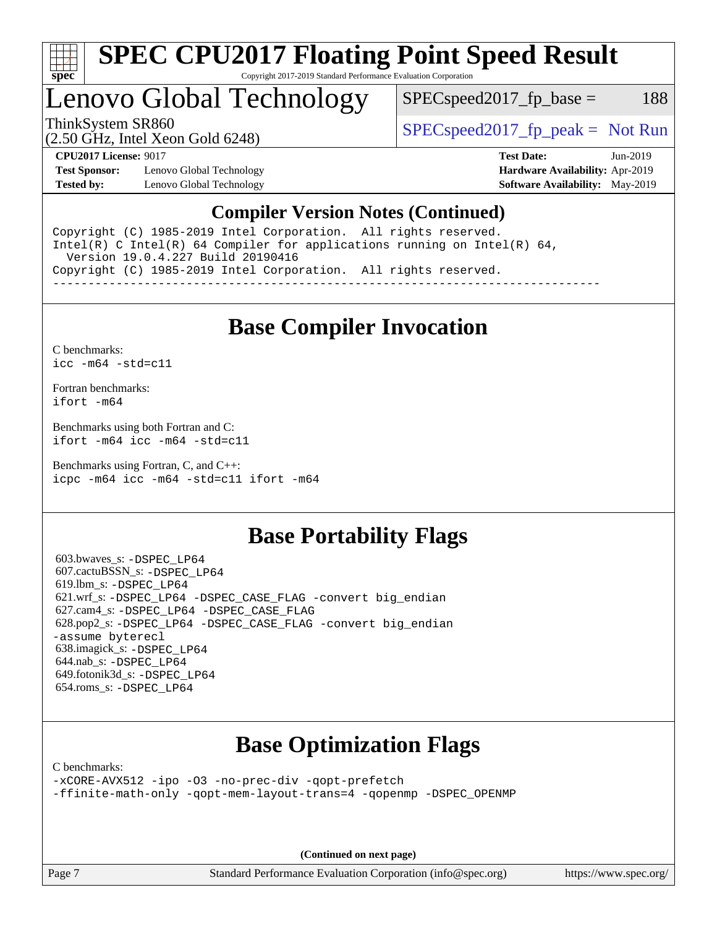

## Lenovo Global Technology

 $SPEC speed2017<sub>fp</sub> base =  $188$$ 

(2.50 GHz, Intel Xeon Gold 6248)

ThinkSystem SR860<br>  $SPEC speed2017<sub>rfp</sub> peak = Not Run$ 

**[Test Sponsor:](http://www.spec.org/auto/cpu2017/Docs/result-fields.html#TestSponsor)** Lenovo Global Technology **[Hardware Availability:](http://www.spec.org/auto/cpu2017/Docs/result-fields.html#HardwareAvailability)** Apr-2019 **[Tested by:](http://www.spec.org/auto/cpu2017/Docs/result-fields.html#Testedby)** Lenovo Global Technology **[Software Availability:](http://www.spec.org/auto/cpu2017/Docs/result-fields.html#SoftwareAvailability)** May-2019

**[CPU2017 License:](http://www.spec.org/auto/cpu2017/Docs/result-fields.html#CPU2017License)** 9017 **[Test Date:](http://www.spec.org/auto/cpu2017/Docs/result-fields.html#TestDate)** Jun-2019

#### **[Compiler Version Notes \(Continued\)](http://www.spec.org/auto/cpu2017/Docs/result-fields.html#CompilerVersionNotes)**

Copyright (C) 1985-2019 Intel Corporation. All rights reserved. Intel(R) C Intel(R) 64 Compiler for applications running on Intel(R)  $64$ , Version 19.0.4.227 Build 20190416 Copyright (C) 1985-2019 Intel Corporation. All rights reserved. ------------------------------------------------------------------------------

**[Base Compiler Invocation](http://www.spec.org/auto/cpu2017/Docs/result-fields.html#BaseCompilerInvocation)**

[C benchmarks](http://www.spec.org/auto/cpu2017/Docs/result-fields.html#Cbenchmarks): [icc -m64 -std=c11](http://www.spec.org/cpu2017/results/res2019q3/cpu2017-20190625-15660.flags.html#user_CCbase_intel_icc_64bit_c11_33ee0cdaae7deeeab2a9725423ba97205ce30f63b9926c2519791662299b76a0318f32ddfffdc46587804de3178b4f9328c46fa7c2b0cd779d7a61945c91cd35)

[Fortran benchmarks](http://www.spec.org/auto/cpu2017/Docs/result-fields.html#Fortranbenchmarks): [ifort -m64](http://www.spec.org/cpu2017/results/res2019q3/cpu2017-20190625-15660.flags.html#user_FCbase_intel_ifort_64bit_24f2bb282fbaeffd6157abe4f878425411749daecae9a33200eee2bee2fe76f3b89351d69a8130dd5949958ce389cf37ff59a95e7a40d588e8d3a57e0c3fd751)

[Benchmarks using both Fortran and C](http://www.spec.org/auto/cpu2017/Docs/result-fields.html#BenchmarksusingbothFortranandC): [ifort -m64](http://www.spec.org/cpu2017/results/res2019q3/cpu2017-20190625-15660.flags.html#user_CC_FCbase_intel_ifort_64bit_24f2bb282fbaeffd6157abe4f878425411749daecae9a33200eee2bee2fe76f3b89351d69a8130dd5949958ce389cf37ff59a95e7a40d588e8d3a57e0c3fd751) [icc -m64 -std=c11](http://www.spec.org/cpu2017/results/res2019q3/cpu2017-20190625-15660.flags.html#user_CC_FCbase_intel_icc_64bit_c11_33ee0cdaae7deeeab2a9725423ba97205ce30f63b9926c2519791662299b76a0318f32ddfffdc46587804de3178b4f9328c46fa7c2b0cd779d7a61945c91cd35)

[Benchmarks using Fortran, C, and C++:](http://www.spec.org/auto/cpu2017/Docs/result-fields.html#BenchmarksusingFortranCandCXX) [icpc -m64](http://www.spec.org/cpu2017/results/res2019q3/cpu2017-20190625-15660.flags.html#user_CC_CXX_FCbase_intel_icpc_64bit_4ecb2543ae3f1412ef961e0650ca070fec7b7afdcd6ed48761b84423119d1bf6bdf5cad15b44d48e7256388bc77273b966e5eb805aefd121eb22e9299b2ec9d9) [icc -m64 -std=c11](http://www.spec.org/cpu2017/results/res2019q3/cpu2017-20190625-15660.flags.html#user_CC_CXX_FCbase_intel_icc_64bit_c11_33ee0cdaae7deeeab2a9725423ba97205ce30f63b9926c2519791662299b76a0318f32ddfffdc46587804de3178b4f9328c46fa7c2b0cd779d7a61945c91cd35) [ifort -m64](http://www.spec.org/cpu2017/results/res2019q3/cpu2017-20190625-15660.flags.html#user_CC_CXX_FCbase_intel_ifort_64bit_24f2bb282fbaeffd6157abe4f878425411749daecae9a33200eee2bee2fe76f3b89351d69a8130dd5949958ce389cf37ff59a95e7a40d588e8d3a57e0c3fd751)

## **[Base Portability Flags](http://www.spec.org/auto/cpu2017/Docs/result-fields.html#BasePortabilityFlags)**

 603.bwaves\_s: [-DSPEC\\_LP64](http://www.spec.org/cpu2017/results/res2019q3/cpu2017-20190625-15660.flags.html#suite_basePORTABILITY603_bwaves_s_DSPEC_LP64) 607.cactuBSSN\_s: [-DSPEC\\_LP64](http://www.spec.org/cpu2017/results/res2019q3/cpu2017-20190625-15660.flags.html#suite_basePORTABILITY607_cactuBSSN_s_DSPEC_LP64) 619.lbm\_s: [-DSPEC\\_LP64](http://www.spec.org/cpu2017/results/res2019q3/cpu2017-20190625-15660.flags.html#suite_basePORTABILITY619_lbm_s_DSPEC_LP64) 621.wrf\_s: [-DSPEC\\_LP64](http://www.spec.org/cpu2017/results/res2019q3/cpu2017-20190625-15660.flags.html#suite_basePORTABILITY621_wrf_s_DSPEC_LP64) [-DSPEC\\_CASE\\_FLAG](http://www.spec.org/cpu2017/results/res2019q3/cpu2017-20190625-15660.flags.html#b621.wrf_s_baseCPORTABILITY_DSPEC_CASE_FLAG) [-convert big\\_endian](http://www.spec.org/cpu2017/results/res2019q3/cpu2017-20190625-15660.flags.html#user_baseFPORTABILITY621_wrf_s_convert_big_endian_c3194028bc08c63ac5d04de18c48ce6d347e4e562e8892b8bdbdc0214820426deb8554edfa529a3fb25a586e65a3d812c835984020483e7e73212c4d31a38223) 627.cam4\_s: [-DSPEC\\_LP64](http://www.spec.org/cpu2017/results/res2019q3/cpu2017-20190625-15660.flags.html#suite_basePORTABILITY627_cam4_s_DSPEC_LP64) [-DSPEC\\_CASE\\_FLAG](http://www.spec.org/cpu2017/results/res2019q3/cpu2017-20190625-15660.flags.html#b627.cam4_s_baseCPORTABILITY_DSPEC_CASE_FLAG) 628.pop2\_s: [-DSPEC\\_LP64](http://www.spec.org/cpu2017/results/res2019q3/cpu2017-20190625-15660.flags.html#suite_basePORTABILITY628_pop2_s_DSPEC_LP64) [-DSPEC\\_CASE\\_FLAG](http://www.spec.org/cpu2017/results/res2019q3/cpu2017-20190625-15660.flags.html#b628.pop2_s_baseCPORTABILITY_DSPEC_CASE_FLAG) [-convert big\\_endian](http://www.spec.org/cpu2017/results/res2019q3/cpu2017-20190625-15660.flags.html#user_baseFPORTABILITY628_pop2_s_convert_big_endian_c3194028bc08c63ac5d04de18c48ce6d347e4e562e8892b8bdbdc0214820426deb8554edfa529a3fb25a586e65a3d812c835984020483e7e73212c4d31a38223) [-assume byterecl](http://www.spec.org/cpu2017/results/res2019q3/cpu2017-20190625-15660.flags.html#user_baseFPORTABILITY628_pop2_s_assume_byterecl_7e47d18b9513cf18525430bbf0f2177aa9bf368bc7a059c09b2c06a34b53bd3447c950d3f8d6c70e3faf3a05c8557d66a5798b567902e8849adc142926523472) 638.imagick\_s: [-DSPEC\\_LP64](http://www.spec.org/cpu2017/results/res2019q3/cpu2017-20190625-15660.flags.html#suite_basePORTABILITY638_imagick_s_DSPEC_LP64) 644.nab\_s: [-DSPEC\\_LP64](http://www.spec.org/cpu2017/results/res2019q3/cpu2017-20190625-15660.flags.html#suite_basePORTABILITY644_nab_s_DSPEC_LP64) 649.fotonik3d\_s: [-DSPEC\\_LP64](http://www.spec.org/cpu2017/results/res2019q3/cpu2017-20190625-15660.flags.html#suite_basePORTABILITY649_fotonik3d_s_DSPEC_LP64) 654.roms\_s: [-DSPEC\\_LP64](http://www.spec.org/cpu2017/results/res2019q3/cpu2017-20190625-15660.flags.html#suite_basePORTABILITY654_roms_s_DSPEC_LP64)

## **[Base Optimization Flags](http://www.spec.org/auto/cpu2017/Docs/result-fields.html#BaseOptimizationFlags)**

[C benchmarks](http://www.spec.org/auto/cpu2017/Docs/result-fields.html#Cbenchmarks):

[-xCORE-AVX512](http://www.spec.org/cpu2017/results/res2019q3/cpu2017-20190625-15660.flags.html#user_CCbase_f-xCORE-AVX512) [-ipo](http://www.spec.org/cpu2017/results/res2019q3/cpu2017-20190625-15660.flags.html#user_CCbase_f-ipo) [-O3](http://www.spec.org/cpu2017/results/res2019q3/cpu2017-20190625-15660.flags.html#user_CCbase_f-O3) [-no-prec-div](http://www.spec.org/cpu2017/results/res2019q3/cpu2017-20190625-15660.flags.html#user_CCbase_f-no-prec-div) [-qopt-prefetch](http://www.spec.org/cpu2017/results/res2019q3/cpu2017-20190625-15660.flags.html#user_CCbase_f-qopt-prefetch) [-ffinite-math-only](http://www.spec.org/cpu2017/results/res2019q3/cpu2017-20190625-15660.flags.html#user_CCbase_f_finite_math_only_cb91587bd2077682c4b38af759c288ed7c732db004271a9512da14a4f8007909a5f1427ecbf1a0fb78ff2a814402c6114ac565ca162485bbcae155b5e4258871) [-qopt-mem-layout-trans=4](http://www.spec.org/cpu2017/results/res2019q3/cpu2017-20190625-15660.flags.html#user_CCbase_f-qopt-mem-layout-trans_fa39e755916c150a61361b7846f310bcdf6f04e385ef281cadf3647acec3f0ae266d1a1d22d972a7087a248fd4e6ca390a3634700869573d231a252c784941a8) [-qopenmp](http://www.spec.org/cpu2017/results/res2019q3/cpu2017-20190625-15660.flags.html#user_CCbase_qopenmp_16be0c44f24f464004c6784a7acb94aca937f053568ce72f94b139a11c7c168634a55f6653758ddd83bcf7b8463e8028bb0b48b77bcddc6b78d5d95bb1df2967) [-DSPEC\\_OPENMP](http://www.spec.org/cpu2017/results/res2019q3/cpu2017-20190625-15660.flags.html#suite_CCbase_DSPEC_OPENMP)

**(Continued on next page)**

Page 7 Standard Performance Evaluation Corporation [\(info@spec.org\)](mailto:info@spec.org) <https://www.spec.org/>